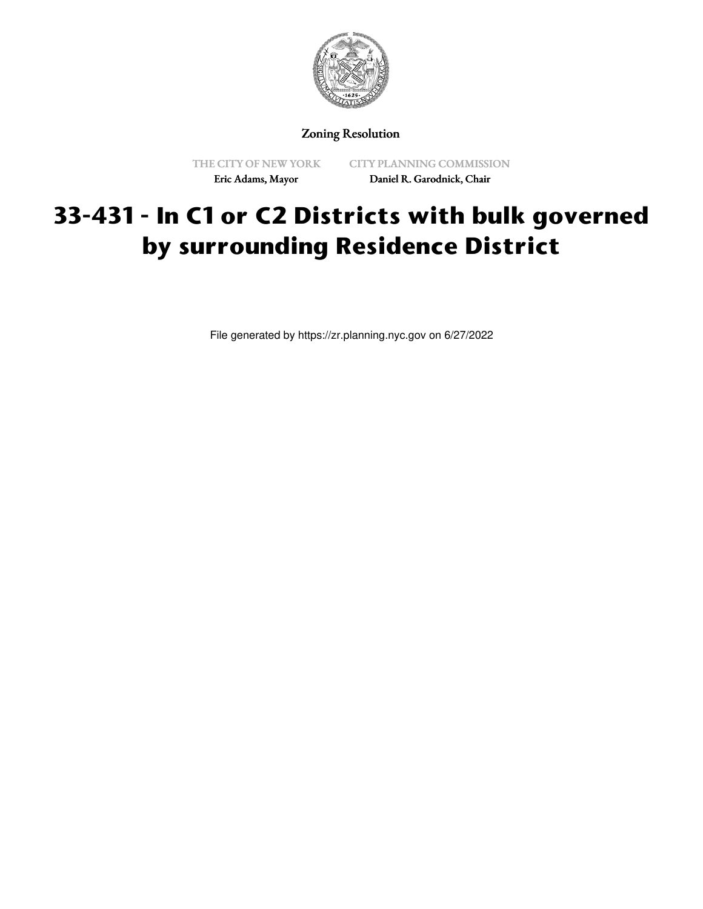

Zoning Resolution

THE CITY OF NEW YORK Eric Adams, Mayor

CITY PLANNING COMMISSION Daniel R. Garodnick, Chair

## **33-431 - In C1 or C2 Districts with bulk governed by surrounding Residence District**

File generated by https://zr.planning.nyc.gov on 6/27/2022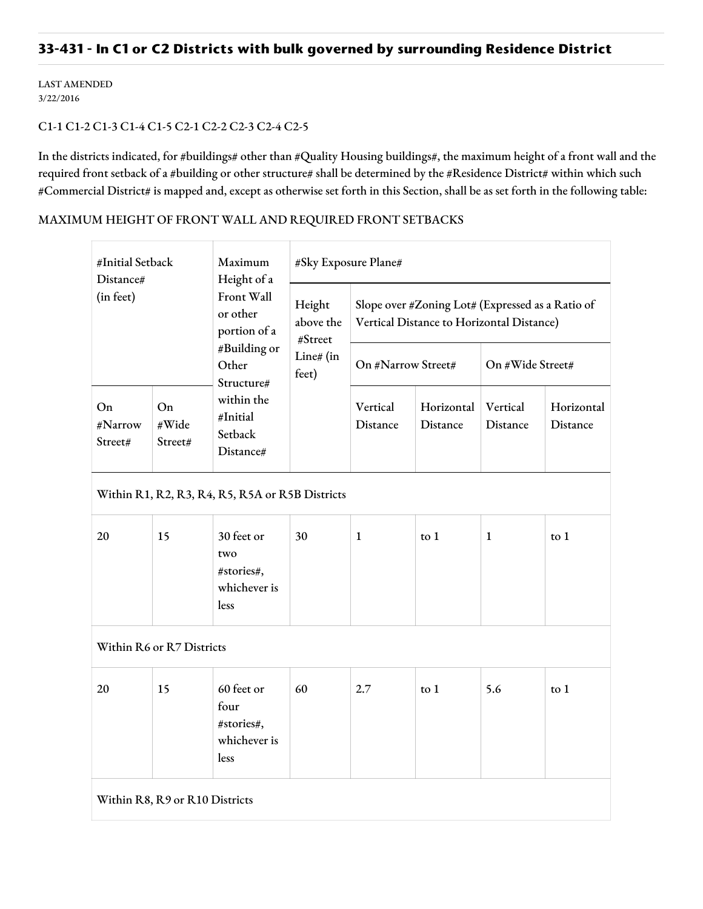## **33-431 - In C1 or C2 Districts with bulk governed by surrounding Residence District**

LAST AMENDED 3/22/2016

## C1-1 C1-2 C1-3 C1-4 C1-5 C2-1 C2-2 C2-3 C2-4 C2-5

In the districts indicated, for #buildings# other than #Quality Housing buildings#, the maximum height of a front wall and the required front setback of a #building or other structure# shall be determined by the #Residence District# within which such #Commercial District# is mapped and, except as otherwise set forth in this Section, shall be as set forth in the following table:

## MAXIMUM HEIGHT OF FRONT WALL AND REQUIRED FRONT SETBACKS

| #Initial Setback<br>Distance#<br>(in feet)      |                        | Maximum<br>Height of a<br>Front Wall<br>or other<br>portion of a<br>#Building or<br>Other<br>Structure# | #Sky Exposure Plane#                                 |                                                                                               |                        |                      |                        |  |  |  |  |
|-------------------------------------------------|------------------------|---------------------------------------------------------------------------------------------------------|------------------------------------------------------|-----------------------------------------------------------------------------------------------|------------------------|----------------------|------------------------|--|--|--|--|
|                                                 |                        |                                                                                                         | Height<br>above the<br>#Street<br>Line# (in<br>feet) | Slope over #Zoning Lot# (Expressed as a Ratio of<br>Vertical Distance to Horizontal Distance) |                        |                      |                        |  |  |  |  |
|                                                 |                        |                                                                                                         |                                                      | On #Narrow Street#                                                                            |                        | On #Wide Street#     |                        |  |  |  |  |
| On<br>#Narrow<br>Street#                        | On<br>#Wide<br>Street# | within the<br>#Initial<br>Setback<br>Distance#                                                          |                                                      | Vertical<br>Distance                                                                          | Horizontal<br>Distance | Vertical<br>Distance | Horizontal<br>Distance |  |  |  |  |
| Within R1, R2, R3, R4, R5, R5A or R5B Districts |                        |                                                                                                         |                                                      |                                                                                               |                        |                      |                        |  |  |  |  |
| 20                                              | 15                     | 30 feet or<br>two<br>#stories#,<br>whichever is<br>less                                                 | 30                                                   | 1                                                                                             | $\frac{1}{2}$          | $\mathbf{1}$         | $\frac{1}{2}$          |  |  |  |  |
| Within R6 or R7 Districts                       |                        |                                                                                                         |                                                      |                                                                                               |                        |                      |                        |  |  |  |  |
| 20                                              | 15                     | 60 feet or<br>four<br>#stories#,<br>whichever is<br><b>less</b>                                         | 60                                                   | 2.7                                                                                           | to $1$                 | 5.6                  | to $1$                 |  |  |  |  |
| Within R8, R9 or R10 Districts                  |                        |                                                                                                         |                                                      |                                                                                               |                        |                      |                        |  |  |  |  |